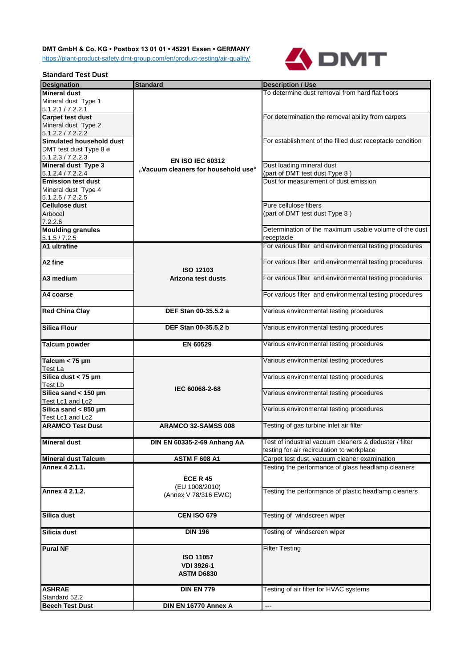## **DMT GmbH & Co. KG • Postbox 13 01 01 • 45291 Essen • GERMANY**

<https://plant-product-safety.dmt-group.com/en/product-testing/air-quality/>



## **Standard Test Dust**

| <b>Designation</b>         | <b>Standard</b>                     | <b>Description / Use</b>                                  |
|----------------------------|-------------------------------------|-----------------------------------------------------------|
| <b>Mineral dust</b>        |                                     | To determine dust removal from hard flat floors           |
| Mineral dust Type 1        |                                     |                                                           |
| 5.1.2.1 / 7.2.2.1          |                                     |                                                           |
| <b>Carpet test dust</b>    |                                     | For determination the removal ability from carpets        |
| Mineral dust Type 2        |                                     |                                                           |
| 5.1.2.2 / 7.2.2.2          |                                     |                                                           |
| Simulated household dust   |                                     | For establishment of the filled dust receptacle condition |
| DMT test dust Type 8 ®     |                                     |                                                           |
|                            |                                     |                                                           |
| 5.1.2.3 / 7.2.2.3          | <b>EN ISO IEC 60312</b>             |                                                           |
| Mineral dust Type 3        | "Vacuum cleaners for household use" | Dust loading mineral dust                                 |
| 5.1.2.4 / 7.2.2.4          |                                     | (part of DMT test dust Type 8)                            |
| <b>Emission test dust</b>  |                                     | Dust for measurement of dust emission                     |
| Mineral dust Type 4        |                                     |                                                           |
| 5.1.2.5 / 7.2.2.5          |                                     |                                                           |
| <b>Cellulose dust</b>      |                                     | Pure cellulose fibers                                     |
| Arbocel                    |                                     | (part of DMT test dust Type 8)                            |
| 7.2.2.6                    |                                     |                                                           |
| <b>Moulding granules</b>   |                                     | Determination of the maximum usable volume of the dust    |
| 5.1.5 / 7.2.5              |                                     | receptacle                                                |
| A1 ultrafine               |                                     | For various filter and environmental testing procedures   |
|                            |                                     |                                                           |
| A <sub>2</sub> fine        |                                     | For various filter and environmental testing procedures   |
|                            | <b>ISO 12103</b>                    |                                                           |
| A3 medium                  | Arizona test dusts                  | For various filter and environmental testing procedures   |
|                            |                                     |                                                           |
|                            |                                     |                                                           |
| A4 coarse                  |                                     | For various filter and environmental testing procedures   |
|                            |                                     |                                                           |
| <b>Red China Clay</b>      | DEF Stan 00-35.5.2 a                | Various environmental testing procedures                  |
|                            |                                     |                                                           |
| <b>Silica Flour</b>        | DEF Stan 00-35.5.2 b                | Various environmental testing procedures                  |
|                            |                                     |                                                           |
| <b>Talcum powder</b>       | EN 60529                            | Various environmental testing procedures                  |
|                            |                                     |                                                           |
| Talcum $<$ 75 µm           |                                     | Various environmental testing procedures                  |
| Test La                    |                                     |                                                           |
| Silica dust < $75 \mu m$   |                                     | Various environmental testing procedures                  |
| Test Lb                    |                                     |                                                           |
| Silica sand < 150 µm       | IEC 60068-2-68                      | Various environmental testing procedures                  |
| Test Lc1 and Lc2           |                                     |                                                           |
| Silica sand < 850 µm       |                                     | Various environmental testing procedures                  |
| Test Lc1 and Lc2           |                                     |                                                           |
| <b>ARAMCO Test Dust</b>    |                                     |                                                           |
|                            | ARAMCO 32-SAMSS 008                 | Testing of gas turbine inlet air filter                   |
|                            |                                     |                                                           |
| <b>Mineral dust</b>        | DIN EN 60335-2-69 Anhang AA         | Test of industrial vacuum cleaners & deduster / filter    |
|                            |                                     | testing for air recirculation to workplace                |
| <b>Mineral dust Talcum</b> | <b>ASTM F 608 A1</b>                | Carpet test dust, vacuum cleaner examination              |
| Annex 4 2.1.1.             |                                     | Testing the performance of glass headlamp cleaners        |
|                            | <b>ECE R 45</b>                     |                                                           |
|                            | (EU 1008/2010)                      |                                                           |
| Annex 4 2.1.2.             |                                     | Testing the performance of plastic headlamp cleaners      |
|                            | (Annex V 78/316 EWG)                |                                                           |
|                            |                                     |                                                           |
| Silica dust                | <b>CEN ISO 679</b>                  | Testing of windscreen wiper                               |
|                            |                                     |                                                           |
| Silicia dust               | <b>DIN 196</b>                      | Testing of windscreen wiper                               |
|                            |                                     |                                                           |
| <b>Pural NF</b>            |                                     | <b>Filter Testing</b>                                     |
|                            |                                     |                                                           |
|                            | <b>ISO 11057</b>                    |                                                           |
|                            | <b>VDI 3926-1</b>                   |                                                           |
|                            | <b>ASTM D6830</b>                   |                                                           |
|                            |                                     |                                                           |
| <b>ASHRAE</b>              | <b>DIN EN 779</b>                   | Testing of air filter for HVAC systems                    |
| Standard 52.2              |                                     |                                                           |
| <b>Beech Test Dust</b>     | DIN EN 16770 Annex A                | $\sim$ $\sim$ $\sim$                                      |